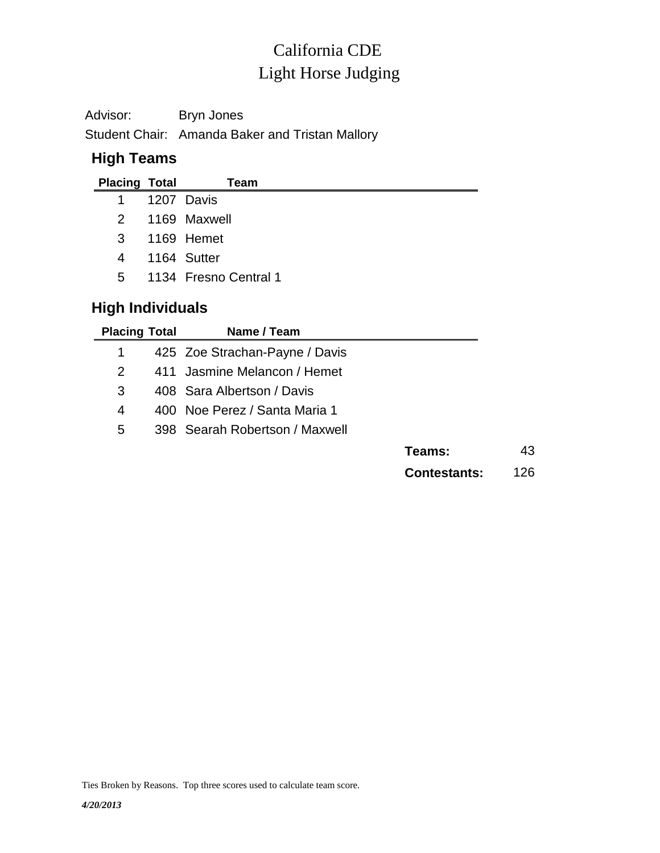# Light Horse Judging California CDE

Advisor: Bryn Jones Student Chair: Amanda Baker and Tristan Mallory

### **High Teams**

| <b>Placing Total</b>    | Team                    |
|-------------------------|-------------------------|
| 1                       | 1207 Davis              |
| 2                       | 1169 Maxwell            |
| 3                       | 1169 Hemet              |
| $\overline{4}$          | 1164 Sutter             |
|                         | 5 1134 Fresno Central 1 |
| <b>High Individuals</b> |                         |

| <b>Placing Total</b> | Name / Team                    |                     |     |
|----------------------|--------------------------------|---------------------|-----|
| 1                    | 425 Zoe Strachan-Payne / Davis |                     |     |
| $\mathcal{P}$        | 411 Jasmine Melancon / Hemet   |                     |     |
| 3                    | 408 Sara Albertson / Davis     |                     |     |
| 4                    | 400 Noe Perez / Santa Maria 1  |                     |     |
| 5                    | 398 Searah Robertson / Maxwell |                     |     |
|                      |                                | Teams:              | 43  |
|                      |                                | <b>Contestants:</b> | 126 |

Ties Broken by Reasons. Top three scores used to calculate team score.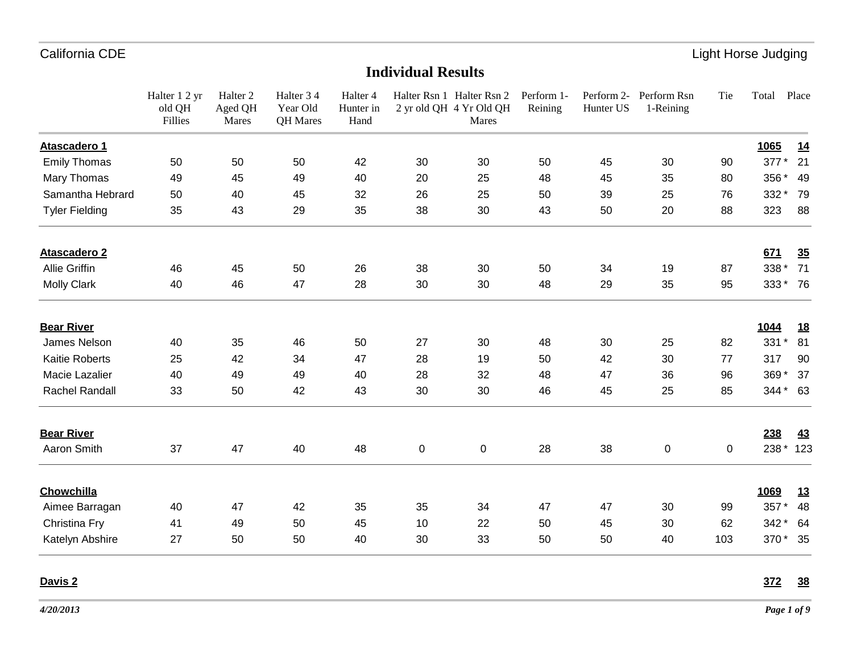## **Individual Results**

|                       | Halter 1 2 yr<br>old QH<br>Fillies | Halter <sub>2</sub><br>Aged QH<br>Mares | Halter 34<br>Year Old<br>QH Mares | Halter <sub>4</sub><br>Hunter in<br>Hand |    | Halter Rsn 1 Halter Rsn 2<br>2 yr old QH 4 Yr Old QH<br>Mares | Perform 1-<br>Reining | Perform 2-<br>Hunter US | Perform Rsn<br>1-Reining | Tie            | Total    | Place     |
|-----------------------|------------------------------------|-----------------------------------------|-----------------------------------|------------------------------------------|----|---------------------------------------------------------------|-----------------------|-------------------------|--------------------------|----------------|----------|-----------|
| Atascadero 1          |                                    |                                         |                                   |                                          |    |                                                               |                       |                         |                          |                | 1065     | <u>14</u> |
| <b>Emily Thomas</b>   | 50                                 | 50                                      | 50                                | 42                                       | 30 | 30                                                            | 50                    | 45                      | 30                       | 90             | 377*     | 21        |
| Mary Thomas           | 49                                 | 45                                      | 49                                | 40                                       | 20 | 25                                                            | 48                    | 45                      | 35                       | 80             | 356 *    | 49        |
| Samantha Hebrard      | 50                                 | 40                                      | 45                                | 32                                       | 26 | 25                                                            | 50                    | 39                      | 25                       | 76             | 332 *    | 79        |
| <b>Tyler Fielding</b> | 35                                 | 43                                      | 29                                | 35                                       | 38 | 30                                                            | 43                    | 50                      | 20                       | 88             | 323      | 88        |
| <b>Atascadero 2</b>   |                                    |                                         |                                   |                                          |    |                                                               |                       |                         |                          |                | 671      | 35        |
| <b>Allie Griffin</b>  | 46                                 | 45                                      | 50                                | 26                                       | 38 | 30                                                            | 50                    | 34                      | 19                       | 87             | 338 *    | 71        |
| <b>Molly Clark</b>    | 40                                 | 46                                      | 47                                | 28                                       | 30 | 30                                                            | 48                    | 29                      | 35                       | 95             | 333* 76  |           |
| <b>Bear River</b>     |                                    |                                         |                                   |                                          |    |                                                               |                       |                         |                          |                | 1044     | <u>18</u> |
| James Nelson          | 40                                 | 35                                      | 46                                | 50                                       | 27 | 30                                                            | 48                    | 30                      | 25                       | 82             | 331 *    | 81        |
| <b>Kaitie Roberts</b> | 25                                 | 42                                      | 34                                | 47                                       | 28 | 19                                                            | 50                    | 42                      | 30                       | 77             | 317      | 90        |
| Macie Lazalier        | 40                                 | 49                                      | 49                                | 40                                       | 28 | 32                                                            | 48                    | 47                      | 36                       | 96             | 369*     | 37        |
| Rachel Randall        | 33                                 | 50                                      | 42                                | 43                                       | 30 | 30                                                            | 46                    | 45                      | 25                       | 85             | 344 * 63 |           |
| <b>Bear River</b>     |                                    |                                         |                                   |                                          |    |                                                               |                       |                         |                          |                | 238      | <u>43</u> |
| Aaron Smith           | 37                                 | 47                                      | 40                                | 48                                       | 0  | 0                                                             | 28                    | 38                      | 0                        | $\overline{0}$ |          | 238 * 123 |
| Chowchilla            |                                    |                                         |                                   |                                          |    |                                                               |                       |                         |                          |                | 1069     | <u>13</u> |
| Aimee Barragan        | 40                                 | 47                                      | 42                                | 35                                       | 35 | 34                                                            | 47                    | 47                      | 30                       | 99             | 357*     | 48        |
| Christina Fry         | 41                                 | 49                                      | 50                                | 45                                       | 10 | 22                                                            | 50                    | 45                      | 30                       | 62             | 342 *    | 64        |
| Katelyn Abshire       | 27                                 | 50                                      | 50                                | 40                                       | 30 | 33                                                            | 50                    | 50                      | 40                       | 103            | 370*     | - 35      |

**Davis 2 372 38**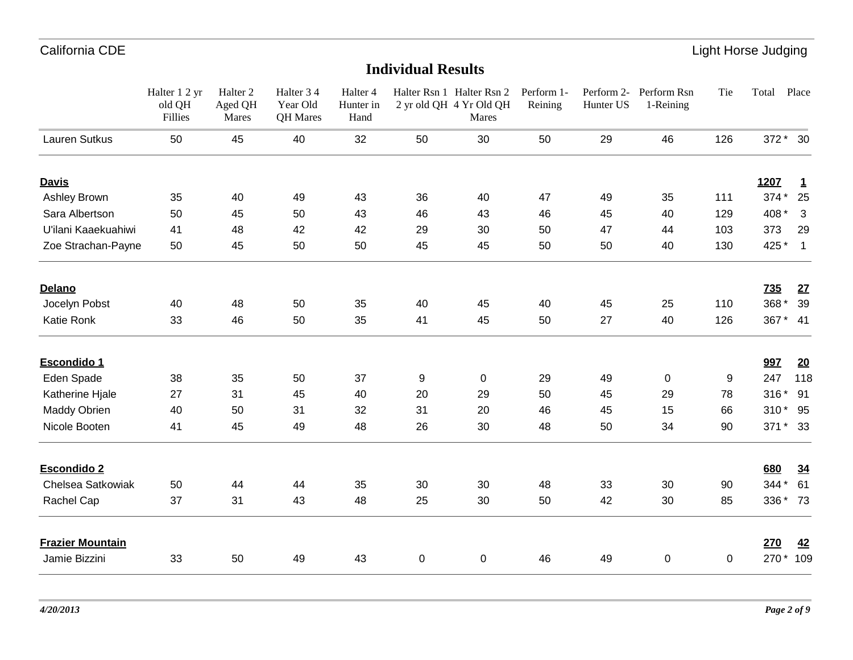|                         | Halter 1 2 yr<br>old QH<br>Fillies | Halter <sub>2</sub><br>Aged QH<br>Mares | Halter 3 4<br>Year Old<br>QH Mares | Halter 4<br>Hunter in<br>Hand |    | Halter Rsn 1 Halter Rsn 2 Perform 1-<br>2 yr old QH 4 Yr Old QH<br>Mares | Reining | Hunter US | Perform 2- Perform Rsn<br>1-Reining | Tie | Total      | Place                    |
|-------------------------|------------------------------------|-----------------------------------------|------------------------------------|-------------------------------|----|--------------------------------------------------------------------------|---------|-----------|-------------------------------------|-----|------------|--------------------------|
| Lauren Sutkus           | 50                                 | 45                                      | 40                                 | 32                            | 50 | 30                                                                       | 50      | 29        | 46                                  | 126 | 372 * 30   |                          |
| <b>Davis</b>            |                                    |                                         |                                    |                               |    |                                                                          |         |           |                                     |     | 1207       | $\overline{1}$           |
| Ashley Brown            | 35                                 | 40                                      | 49                                 | 43                            | 36 | 40                                                                       | 47      | 49        | 35                                  | 111 | 374 *      | 25                       |
| Sara Albertson          | 50                                 | 45                                      | 50                                 | 43                            | 46 | 43                                                                       | 46      | 45        | 40                                  | 129 | 408 *      | 3                        |
| U'ilani Kaaekuahiwi     | 41                                 | 48                                      | 42                                 | 42                            | 29 | 30                                                                       | 50      | 47        | 44                                  | 103 | 373        | 29                       |
| Zoe Strachan-Payne      | 50                                 | 45                                      | 50                                 | 50                            | 45 | 45                                                                       | 50      | 50        | 40                                  | 130 | 425 *      | $\overline{\phantom{0}}$ |
| Delano                  |                                    |                                         |                                    |                               |    |                                                                          |         |           |                                     |     | <b>735</b> | 27                       |
| Jocelyn Pobst           | 40                                 | 48                                      | 50                                 | 35                            | 40 | 45                                                                       | 40      | 45        | 25                                  | 110 | 368 *      | 39                       |
| Katie Ronk              | 33                                 | 46                                      | 50                                 | 35                            | 41 | 45                                                                       | 50      | 27        | 40                                  | 126 | 367 * 41   |                          |
| Escondido 1             |                                    |                                         |                                    |                               |    |                                                                          |         |           |                                     |     | 997        | <u>20</u>                |
| Eden Spade              | 38                                 | 35                                      | 50                                 | 37                            | 9  | 0                                                                        | 29      | 49        | 0                                   | 9   | 247        | 118                      |
| Katherine Hjale         | 27                                 | 31                                      | 45                                 | 40                            | 20 | 29                                                                       | 50      | 45        | 29                                  | 78  | 316 * 91   |                          |
| Maddy Obrien            | 40                                 | 50                                      | 31                                 | 32                            | 31 | 20                                                                       | 46      | 45        | 15                                  | 66  | 310* 95    |                          |
| Nicole Booten           | 41                                 | 45                                      | 49                                 | 48                            | 26 | 30                                                                       | 48      | 50        | 34                                  | 90  | 371 * 33   |                          |
| <b>Escondido 2</b>      |                                    |                                         |                                    |                               |    |                                                                          |         |           |                                     |     | 680        | 34                       |
| Chelsea Satkowiak       | 50                                 | 44                                      | 44                                 | 35                            | 30 | 30                                                                       | 48      | 33        | 30                                  | 90  | 344 * 61   |                          |
| Rachel Cap              | 37                                 | 31                                      | 43                                 | 48                            | 25 | 30                                                                       | 50      | 42        | 30                                  | 85  | 336 * 73   |                          |
| <b>Frazier Mountain</b> |                                    |                                         |                                    |                               |    |                                                                          |         |           |                                     |     | 270        | 42                       |
| Jamie Bizzini           | 33                                 | 50                                      | 49                                 | 43                            | 0  | 0                                                                        | 46      | 49        | 0                                   | 0   | 270 *      | 109                      |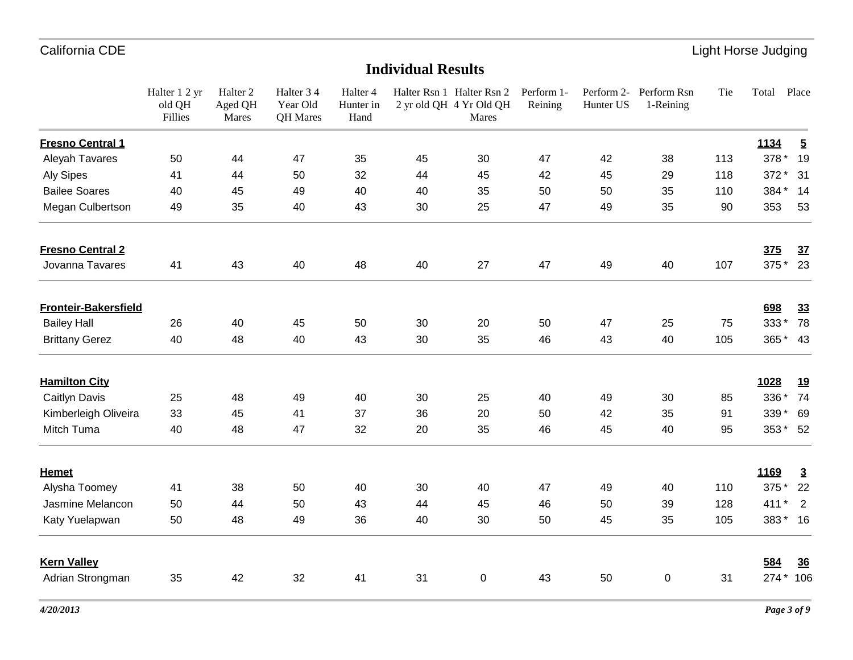|                             | Halter 1 2 yr<br>old QH<br>Fillies | Halter <sub>2</sub><br>Aged QH<br>Mares | Halter 3 4<br>Year Old<br>QH Mares | Halter 4<br>Hunter in<br>Hand |    | Halter Rsn 1 Halter Rsn 2<br>2 yr old QH 4 Yr Old QH<br>Mares | Perform 1-<br>Reining | Hunter US | Perform 2- Perform Rsn<br>1-Reining | Tie | Total          | Place                    |
|-----------------------------|------------------------------------|-----------------------------------------|------------------------------------|-------------------------------|----|---------------------------------------------------------------|-----------------------|-----------|-------------------------------------|-----|----------------|--------------------------|
| <b>Fresno Central 1</b>     |                                    |                                         |                                    |                               |    |                                                               |                       |           |                                     |     | 1134           | $\overline{5}$           |
| Aleyah Tavares              | 50                                 | 44                                      | 47                                 | 35                            | 45 | 30                                                            | 47                    | 42        | 38                                  | 113 | 378 *          | 19                       |
| <b>Aly Sipes</b>            | 41                                 | 44                                      | 50                                 | 32                            | 44 | 45                                                            | 42                    | 45        | 29                                  | 118 | 372 *          | 31                       |
| <b>Bailee Soares</b>        | 40                                 | 45                                      | 49                                 | 40                            | 40 | 35                                                            | 50                    | 50        | 35                                  | 110 | 384 * 14       |                          |
| Megan Culbertson            | 49                                 | 35                                      | 40                                 | 43                            | 30 | 25                                                            | 47                    | 49        | 35                                  | 90  | 353            | 53                       |
| <b>Fresno Central 2</b>     |                                    |                                         |                                    |                               |    |                                                               |                       |           |                                     |     | 375            | 37                       |
| Jovanna Tavares             | 41                                 | 43                                      | 40                                 | 48                            | 40 | 27                                                            | 47                    | 49        | 40                                  | 107 | 375 * 23       |                          |
| <b>Fronteir-Bakersfield</b> |                                    |                                         |                                    |                               |    |                                                               |                       |           |                                     |     | 698            | 33                       |
| <b>Bailey Hall</b>          | 26                                 | 40                                      | 45                                 | 50                            | 30 | 20                                                            | 50                    | 47        | 25                                  | 75  | 333* 78        |                          |
| <b>Brittany Gerez</b>       | 40                                 | 48                                      | 40                                 | 43                            | 30 | 35                                                            | 46                    | 43        | 40                                  | 105 | 365 * 43       |                          |
| <b>Hamilton City</b>        |                                    |                                         |                                    |                               |    |                                                               |                       |           |                                     |     | 1028           | <u>19</u>                |
| Caitlyn Davis               | 25                                 | 48                                      | 49                                 | 40                            | 30 | 25                                                            | 40                    | 49        | 30                                  | 85  | 336 *          | 74                       |
| Kimberleigh Oliveira        | 33                                 | 45                                      | 41                                 | 37                            | 36 | 20                                                            | 50                    | 42        | 35                                  | 91  | 339 * 69       |                          |
| Mitch Tuma                  | 40                                 | 48                                      | 47                                 | 32                            | 20 | 35                                                            | 46                    | 45        | 40                                  | 95  | 353 * 52       |                          |
| <b>Hemet</b>                |                                    |                                         |                                    |                               |    |                                                               |                       |           |                                     |     | 1169           | $\overline{3}$           |
| Alysha Toomey               | 41                                 | 38                                      | 50                                 | 40                            | 30 | 40                                                            | 47                    | 49        | 40                                  | 110 | 375 *          | 22                       |
| Jasmine Melancon            | 50                                 | 44                                      | 50                                 | 43                            | 44 | 45                                                            | 46                    | 50        | 39                                  | 128 | 411<br>$\star$ | $\overline{\phantom{0}}$ |
| Katy Yuelapwan              | 50                                 | 48                                      | 49                                 | 36                            | 40 | 30                                                            | 50                    | 45        | 35                                  | 105 | 383* 16        |                          |
| <b>Kern Valley</b>          |                                    |                                         |                                    |                               |    |                                                               |                       |           |                                     |     | 584            | 36                       |
| Adrian Strongman            | 35                                 | 42                                      | 32                                 | 41                            | 31 | $\pmb{0}$                                                     | 43                    | 50        | 0                                   | 31  | 274 * 106      |                          |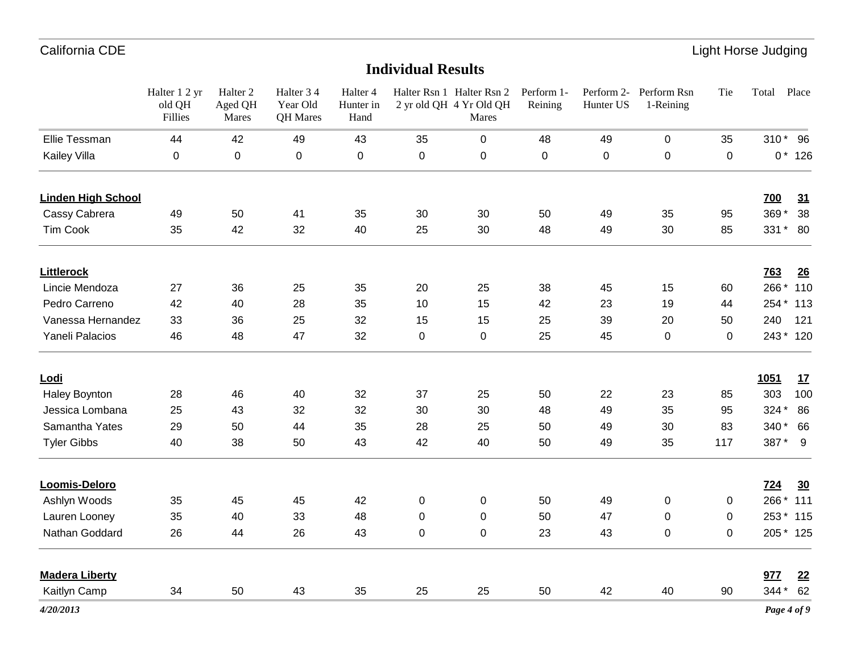|                           | Halter 1 2 yr<br>old QH<br>Fillies | Halter <sub>2</sub><br>Aged QH<br>Mares | Halter 3 4<br>Year Old<br>QH Mares | Halter 4<br>Hunter in<br>Hand |    | Halter Rsn 1 Halter Rsn 2 Perform 1-<br>2 yr old QH 4 Yr Old QH<br>Mares | Reining | Hunter US | Perform 2- Perform Rsn<br>1-Reining | Tie            | Place<br>Total          |
|---------------------------|------------------------------------|-----------------------------------------|------------------------------------|-------------------------------|----|--------------------------------------------------------------------------|---------|-----------|-------------------------------------|----------------|-------------------------|
| Ellie Tessman             | 44                                 | 42                                      | 49                                 | 43                            | 35 | 0                                                                        | 48      | 49        | $\mathbf 0$                         | 35             | 310 * 96                |
| Kailey Villa              | 0                                  | $\mathbf 0$                             | $\mathbf 0$                        | 0                             | 0  | 0                                                                        | 0       | 0         | $\pmb{0}$                           | $\overline{0}$ | $0 * 126$               |
| <b>Linden High School</b> |                                    |                                         |                                    |                               |    |                                                                          |         |           |                                     |                | 700<br>31               |
| Cassy Cabrera             | 49                                 | 50                                      | 41                                 | 35                            | 30 | 30                                                                       | 50      | 49        | 35                                  | 95             | 38<br>369*              |
| Tim Cook                  | 35                                 | 42                                      | 32                                 | 40                            | 25 | 30                                                                       | 48      | 49        | 30                                  | 85             | 331 * 80                |
| <b>Littlerock</b>         |                                    |                                         |                                    |                               |    |                                                                          |         |           |                                     |                | <b>763</b><br>26        |
| Lincie Mendoza            | 27                                 | 36                                      | 25                                 | 35                            | 20 | 25                                                                       | 38      | 45        | 15                                  | 60             | 266 * 110               |
| Pedro Carreno             | 42                                 | 40                                      | 28                                 | 35                            | 10 | 15                                                                       | 42      | 23        | 19                                  | 44             | 254 * 113               |
| Vanessa Hernandez         | 33                                 | 36                                      | 25                                 | 32                            | 15 | 15                                                                       | 25      | 39        | 20                                  | 50             | 240<br>121              |
| Yaneli Palacios           | 46                                 | 48                                      | 47                                 | 32                            | 0  | $\overline{0}$                                                           | 25      | 45        | 0                                   | $\mathbf 0$    | 243 * 120               |
| <u>Lodi</u>               |                                    |                                         |                                    |                               |    |                                                                          |         |           |                                     |                | 1051<br>17              |
| Haley Boynton             | 28                                 | 46                                      | 40                                 | 32                            | 37 | 25                                                                       | 50      | 22        | 23                                  | 85             | 303<br>100              |
| Jessica Lombana           | 25                                 | 43                                      | 32                                 | 32                            | 30 | 30                                                                       | 48      | 49        | 35                                  | 95             | 324 *<br>86             |
| Samantha Yates            | 29                                 | 50                                      | 44                                 | 35                            | 28 | 25                                                                       | 50      | 49        | 30                                  | 83             | 340 * 66                |
| <b>Tyler Gibbs</b>        | 40                                 | 38                                      | 50                                 | 43                            | 42 | 40                                                                       | 50      | 49        | 35                                  | 117            | 387* 9                  |
| Loomis-Deloro             |                                    |                                         |                                    |                               |    |                                                                          |         |           |                                     |                | <u>724</u><br><u>30</u> |
| Ashlyn Woods              | 35                                 | 45                                      | 45                                 | 42                            | 0  | 0                                                                        | 50      | 49        | $\mathbf 0$                         | $\mathbf 0$    | 266 * 111               |
| Lauren Looney             | 35                                 | 40                                      | 33                                 | 48                            | 0  | 0                                                                        | 50      | 47        | 0                                   | $\mathbf{0}$   | 253 * 115               |
| Nathan Goddard            | 26                                 | 44                                      | 26                                 | 43                            | 0  | $\mathbf 0$                                                              | 23      | 43        | 0                                   | 0              | 205 * 125               |
| <b>Madera Liberty</b>     |                                    |                                         |                                    |                               |    |                                                                          |         |           |                                     |                | 977<br>22               |
| Kaitlyn Camp              | 34                                 | 50                                      | 43                                 | 35                            | 25 | 25                                                                       | 50      | 42        | 40                                  | 90             | 344 * 62                |
| 4/20/2013                 |                                    |                                         |                                    |                               |    |                                                                          |         |           |                                     |                | Page 4 of 9             |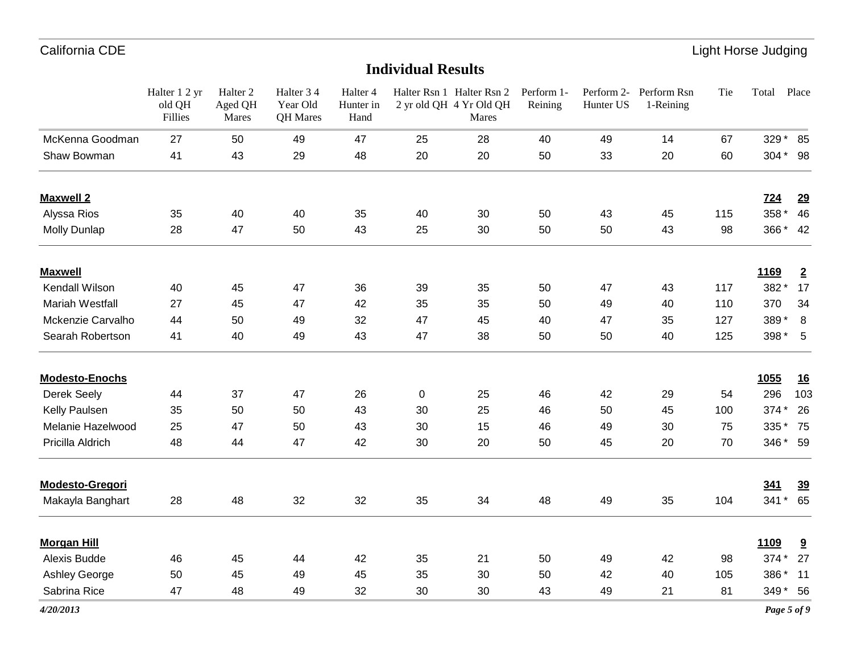|                        | Halter 1 2 yr<br>old QH<br>Fillies | Halter <sub>2</sub><br>Aged QH<br>Mares | Halter 3 4<br>Year Old<br>QH Mares | Halter 4<br>Hunter in<br>Hand |    | Halter Rsn 1 Halter Rsn 2 Perform 1-<br>2 yr old QH 4 Yr Old QH<br>Mares | Reining | Hunter US | Perform 2- Perform Rsn<br>1-Reining | Tie | Total       | Place          |
|------------------------|------------------------------------|-----------------------------------------|------------------------------------|-------------------------------|----|--------------------------------------------------------------------------|---------|-----------|-------------------------------------|-----|-------------|----------------|
| McKenna Goodman        | 27                                 | 50                                      | 49                                 | 47                            | 25 | 28                                                                       | 40      | 49        | 14                                  | 67  | 329 * 85    |                |
| Shaw Bowman            | 41                                 | 43                                      | 29                                 | 48                            | 20 | 20                                                                       | 50      | 33        | 20                                  | 60  | 304 * 98    |                |
| <b>Maxwell 2</b>       |                                    |                                         |                                    |                               |    |                                                                          |         |           |                                     |     | <b>724</b>  | 29             |
| Alyssa Rios            | 35                                 | 40                                      | 40                                 | 35                            | 40 | 30                                                                       | 50      | 43        | 45                                  | 115 | 358 *       | 46             |
| <b>Molly Dunlap</b>    | 28                                 | 47                                      | 50                                 | 43                            | 25 | 30                                                                       | 50      | 50        | 43                                  | 98  | 366* 42     |                |
| <b>Maxwell</b>         |                                    |                                         |                                    |                               |    |                                                                          |         |           |                                     |     | 1169        | $\overline{2}$ |
| Kendall Wilson         | 40                                 | 45                                      | 47                                 | 36                            | 39 | 35                                                                       | 50      | 47        | 43                                  | 117 | 382*        | 17             |
| Mariah Westfall        | 27                                 | 45                                      | 47                                 | 42                            | 35 | 35                                                                       | 50      | 49        | 40                                  | 110 | 370         | 34             |
| Mckenzie Carvalho      | 44                                 | 50                                      | 49                                 | 32                            | 47 | 45                                                                       | 40      | 47        | 35                                  | 127 | 389*        | 8              |
| Searah Robertson       | 41                                 | 40                                      | 49                                 | 43                            | 47 | 38                                                                       | 50      | 50        | 40                                  | 125 | 398 *       | $-5$           |
| <b>Modesto-Enochs</b>  |                                    |                                         |                                    |                               |    |                                                                          |         |           |                                     |     | <b>1055</b> | <u>16</u>      |
| Derek Seely            | 44                                 | 37                                      | 47                                 | 26                            | 0  | 25                                                                       | 46      | 42        | 29                                  | 54  | 296         | 103            |
| Kelly Paulsen          | 35                                 | 50                                      | 50                                 | 43                            | 30 | 25                                                                       | 46      | 50        | 45                                  | 100 | 374 *       | 26             |
| Melanie Hazelwood      | 25                                 | 47                                      | 50                                 | 43                            | 30 | 15                                                                       | 46      | 49        | 30                                  | 75  | 335         | 75             |
| Pricilla Aldrich       | 48                                 | 44                                      | 47                                 | 42                            | 30 | 20                                                                       | 50      | 45        | 20                                  | 70  | 346 * 59    |                |
| <b>Modesto-Gregori</b> |                                    |                                         |                                    |                               |    |                                                                          |         |           |                                     |     | 341         | <u>39</u>      |
| Makayla Banghart       | 28                                 | 48                                      | 32                                 | 32                            | 35 | 34                                                                       | 48      | 49        | 35                                  | 104 | 341 * 65    |                |
| <b>Morgan Hill</b>     |                                    |                                         |                                    |                               |    |                                                                          |         |           |                                     |     | 1109        | 9              |
| Alexis Budde           | 46                                 | 45                                      | 44                                 | 42                            | 35 | 21                                                                       | 50      | 49        | 42                                  | 98  | 374 *       | 27             |
| Ashley George          | 50                                 | 45                                      | 49                                 | 45                            | 35 | 30                                                                       | 50      | 42        | 40                                  | 105 | 386*        | 11             |
| Sabrina Rice           | 47                                 | 48                                      | 49                                 | 32                            | 30 | 30                                                                       | 43      | 49        | 21                                  | 81  | 349 * 56    |                |
|                        |                                    |                                         |                                    |                               |    |                                                                          |         |           |                                     |     |             |                |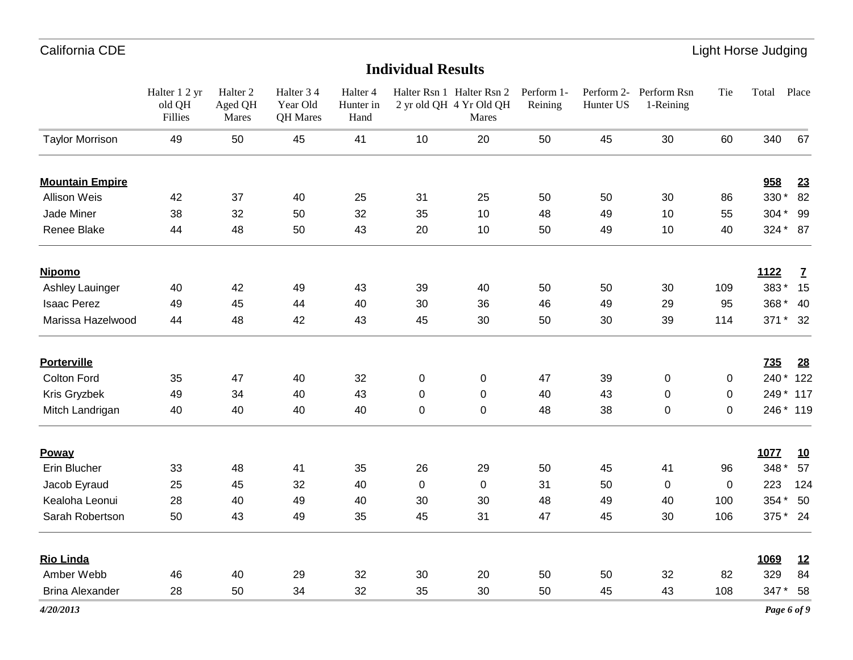|                        | Halter 1 2 yr<br>old QH<br>Fillies | Halter <sub>2</sub><br>Aged QH<br>Mares | Halter 3 4<br>Year Old<br>QH Mares | Halter 4<br>Hunter in<br>Hand |    | Halter Rsn 1 Halter Rsn 2 Perform 1-<br>2 yr old QH 4 Yr Old QH<br>Mares | Reining | Hunter US | Perform 2- Perform Rsn<br>1-Reining | Tie | Total      | Place        |
|------------------------|------------------------------------|-----------------------------------------|------------------------------------|-------------------------------|----|--------------------------------------------------------------------------|---------|-----------|-------------------------------------|-----|------------|--------------|
| <b>Taylor Morrison</b> | 49                                 | 50                                      | 45                                 | 41                            | 10 | 20                                                                       | 50      | 45        | 30                                  | 60  | 340        | 67           |
| <b>Mountain Empire</b> |                                    |                                         |                                    |                               |    |                                                                          |         |           |                                     |     | 958        | <u>23</u>    |
| Allison Weis           | 42                                 | 37                                      | 40                                 | 25                            | 31 | 25                                                                       | 50      | 50        | 30                                  | 86  | 330 * 82   |              |
| Jade Miner             | 38                                 | 32                                      | 50                                 | 32                            | 35 | 10                                                                       | 48      | 49        | 10                                  | 55  | 304 * 99   |              |
| Renee Blake            | 44                                 | 48                                      | 50                                 | 43                            | 20 | 10                                                                       | 50      | 49        | 10                                  | 40  | 324 * 87   |              |
| <b>Nipomo</b>          |                                    |                                         |                                    |                               |    |                                                                          |         |           |                                     |     | 1122       | $\mathbf{Z}$ |
| Ashley Lauinger        | 40                                 | 42                                      | 49                                 | 43                            | 39 | 40                                                                       | 50      | 50        | 30                                  | 109 | 383*       | 15           |
| <b>Isaac Perez</b>     | 49                                 | 45                                      | 44                                 | 40                            | 30 | 36                                                                       | 46      | 49        | 29                                  | 95  | 368 * 40   |              |
| Marissa Hazelwood      | 44                                 | 48                                      | 42                                 | 43                            | 45 | 30                                                                       | 50      | 30        | 39                                  | 114 | 371 * 32   |              |
| <b>Porterville</b>     |                                    |                                         |                                    |                               |    |                                                                          |         |           |                                     |     | <b>735</b> | 28           |
| Colton Ford            | 35                                 | 47                                      | 40                                 | 32                            | 0  | 0                                                                        | 47      | 39        | 0                                   | 0   | 240 * 122  |              |
| Kris Gryzbek           | 49                                 | 34                                      | 40                                 | 43                            | 0  | 0                                                                        | 40      | 43        | 0                                   | 0   | 249 * 117  |              |
| Mitch Landrigan        | 40                                 | 40                                      | 40                                 | 40                            | 0  | 0                                                                        | 48      | 38        | $\mathbf 0$                         | 0   | 246 * 119  |              |
| Poway                  |                                    |                                         |                                    |                               |    |                                                                          |         |           |                                     |     | 1077       | <u>10</u>    |
| Erin Blucher           | 33                                 | 48                                      | 41                                 | 35                            | 26 | 29                                                                       | 50      | 45        | 41                                  | 96  | 348 *      | 57           |
| Jacob Eyraud           | 25                                 | 45                                      | 32                                 | 40                            | 0  | $\mathbf 0$                                                              | 31      | 50        | 0                                   | 0   | 223        | 124          |
| Kealoha Leonui         | 28                                 | 40                                      | 49                                 | 40                            | 30 | 30                                                                       | 48      | 49        | 40                                  | 100 | 354 * 50   |              |
| Sarah Robertson        | 50                                 | 43                                      | 49                                 | 35                            | 45 | 31                                                                       | 47      | 45        | 30                                  | 106 | 375 * 24   |              |
| <b>Rio Linda</b>       |                                    |                                         |                                    |                               |    |                                                                          |         |           |                                     |     | 1069       | <u>12</u>    |
| Amber Webb             | 46                                 | 40                                      | 29                                 | 32                            | 30 | 20                                                                       | 50      | 50        | 32                                  | 82  | 329        | 84           |
| <b>Brina Alexander</b> | 28                                 | 50                                      | 34                                 | 32                            | 35 | 30                                                                       | 50      | 45        | 43                                  | 108 | 347 * 58   |              |
| 4/20/2013              |                                    |                                         |                                    |                               |    |                                                                          |         |           |                                     |     |            | Page 6 of 9  |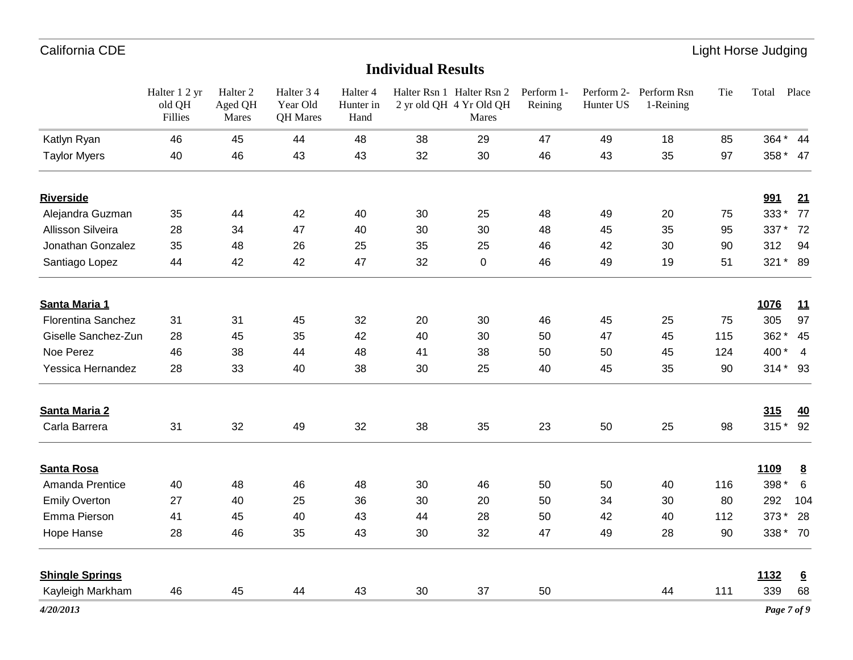|                           | Halter 1 2 yr<br>old QH<br>Fillies | Halter <sub>2</sub><br>Aged QH<br>Mares | Halter 3 4<br>Year Old<br>QH Mares | Halter 4<br>Hunter in<br>Hand |    | Halter Rsn 1 Halter Rsn 2 Perform 1-<br>2 yr old QH 4 Yr Old QH<br>Mares | Reining | Hunter US | Perform 2- Perform Rsn<br>1-Reining | Tie | Total       | Place            |
|---------------------------|------------------------------------|-----------------------------------------|------------------------------------|-------------------------------|----|--------------------------------------------------------------------------|---------|-----------|-------------------------------------|-----|-------------|------------------|
| Katlyn Ryan               | 46                                 | 45                                      | 44                                 | 48                            | 38 | 29                                                                       | 47      | 49        | 18                                  | 85  | 364 * 44    |                  |
| <b>Taylor Myers</b>       | 40                                 | 46                                      | 43                                 | 43                            | 32 | $30\,$                                                                   | 46      | 43        | 35                                  | 97  | 358 * 47    |                  |
| <b>Riverside</b>          |                                    |                                         |                                    |                               |    |                                                                          |         |           |                                     |     | 991         | 21               |
| Alejandra Guzman          | 35                                 | 44                                      | 42                                 | 40                            | 30 | 25                                                                       | 48      | 49        | 20                                  | 75  | 333*        | 77               |
| Allisson Silveira         | 28                                 | 34                                      | 47                                 | 40                            | 30 | 30                                                                       | 48      | 45        | 35                                  | 95  | 337 *       | 72               |
| Jonathan Gonzalez         | 35                                 | 48                                      | 26                                 | 25                            | 35 | 25                                                                       | 46      | 42        | 30                                  | 90  | 312         | 94               |
| Santiago Lopez            | 44                                 | 42                                      | 42                                 | 47                            | 32 | 0                                                                        | 46      | 49        | 19                                  | 51  | 321 * 89    |                  |
| Santa Maria 1             |                                    |                                         |                                    |                               |    |                                                                          |         |           |                                     |     | 1076        | 11               |
| <b>Florentina Sanchez</b> | 31                                 | 31                                      | 45                                 | 32                            | 20 | 30                                                                       | 46      | 45        | 25                                  | 75  | 305         | 97               |
| Giselle Sanchez-Zun       | 28                                 | 45                                      | 35                                 | 42                            | 40 | 30                                                                       | 50      | 47        | 45                                  | 115 | 362 *       | 45               |
| Noe Perez                 | 46                                 | 38                                      | 44                                 | 48                            | 41 | 38                                                                       | 50      | 50        | 45                                  | 124 | 400*        | $\overline{4}$   |
| Yessica Hernandez         | 28                                 | 33                                      | 40                                 | 38                            | 30 | 25                                                                       | 40      | 45        | 35                                  | 90  | 314* 93     |                  |
| <b>Santa Maria 2</b>      |                                    |                                         |                                    |                               |    |                                                                          |         |           |                                     |     | 315         | 40               |
| Carla Barrera             | 31                                 | 32                                      | 49                                 | 32                            | 38 | 35                                                                       | 23      | 50        | 25                                  | 98  | 315 * 92    |                  |
| <b>Santa Rosa</b>         |                                    |                                         |                                    |                               |    |                                                                          |         |           |                                     |     | 1109        | $\underline{8}$  |
| Amanda Prentice           | 40                                 | 48                                      | 46                                 | 48                            | 30 | 46                                                                       | 50      | 50        | 40                                  | 116 | 398 *       | 6                |
| <b>Emily Overton</b>      | 27                                 | 40                                      | 25                                 | 36                            | 30 | 20                                                                       | 50      | 34        | 30                                  | 80  | 292         | 104              |
| Emma Pierson              | 41                                 | 45                                      | 40                                 | 43                            | 44 | 28                                                                       | 50      | 42        | 40                                  | 112 | 373*        | 28               |
| Hope Hanse                | 28                                 | 46                                      | 35                                 | 43                            | 30 | 32                                                                       | 47      | 49        | 28                                  | 90  | 338 * 70    |                  |
| <b>Shingle Springs</b>    |                                    |                                         |                                    |                               |    |                                                                          |         |           |                                     |     | 1132        | $6 \overline{6}$ |
| Kayleigh Markham          | 46                                 | 45                                      | 44                                 | 43                            | 30 | 37                                                                       | 50      |           | 44                                  | 111 | 339         | 68               |
| 4/20/2013                 |                                    |                                         |                                    |                               |    |                                                                          |         |           |                                     |     | Page 7 of 9 |                  |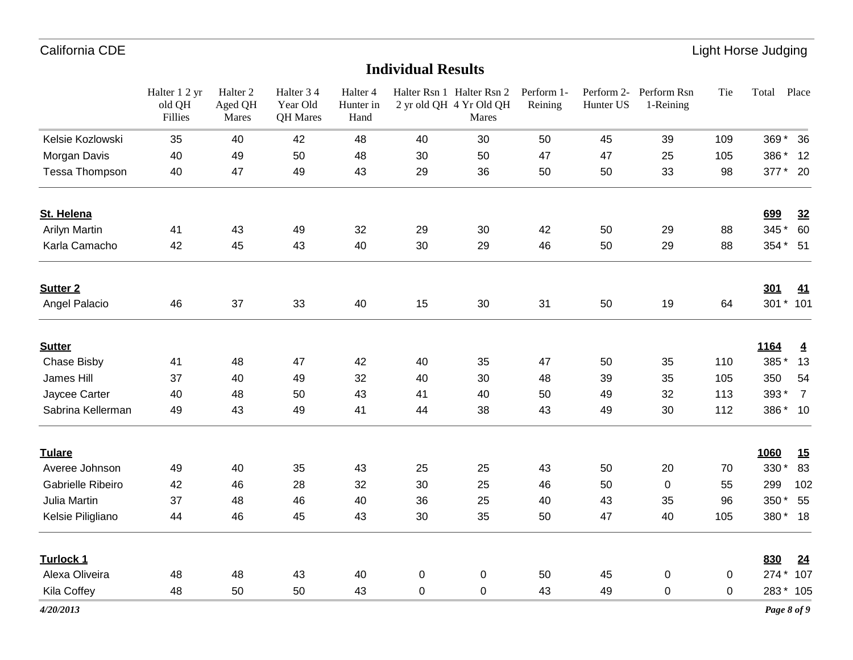|                      | Halter 1 2 yr<br>old QH<br>Fillies | Halter <sub>2</sub><br>Aged QH<br>Mares | Halter 3 4<br>Year Old<br>QH Mares | Halter 4<br>Hunter in<br>Hand |                | Halter Rsn 1 Halter Rsn 2<br>2 yr old QH 4 Yr Old QH<br>Mares | Perform 1-<br>Reining | Hunter US | Perform 2- Perform Rsn<br>1-Reining | Tie | Total | Place          |
|----------------------|------------------------------------|-----------------------------------------|------------------------------------|-------------------------------|----------------|---------------------------------------------------------------|-----------------------|-----------|-------------------------------------|-----|-------|----------------|
| Kelsie Kozlowski     | 35                                 | 40                                      | 42                                 | 48                            | 40             | 30                                                            | 50                    | 45        | 39                                  | 109 |       | 369 * 36       |
| Morgan Davis         | 40                                 | 49                                      | 50                                 | 48                            | 30             | 50                                                            | 47                    | 47        | 25                                  | 105 | 386 * | 12             |
| Tessa Thompson       | 40                                 | 47                                      | 49                                 | 43                            | 29             | 36                                                            | 50                    | 50        | 33                                  | 98  |       | 377 * 20       |
| St. Helena           |                                    |                                         |                                    |                               |                |                                                               |                       |           |                                     |     | 699   | 32             |
| <b>Arilyn Martin</b> | 41                                 | 43                                      | 49                                 | 32                            | 29             | 30                                                            | 42                    | 50        | 29                                  | 88  | 345*  | 60             |
| Karla Camacho        | 42                                 | 45                                      | 43                                 | 40                            | 30             | 29                                                            | 46                    | 50        | 29                                  | 88  |       | 354 * 51       |
| <b>Sutter 2</b>      |                                    |                                         |                                    |                               |                |                                                               |                       |           |                                     |     | 301   | <u>41</u>      |
| Angel Palacio        | 46                                 | 37                                      | 33                                 | 40                            | 15             | 30                                                            | 31                    | 50        | 19                                  | 64  |       | 301 * 101      |
| <b>Sutter</b>        |                                    |                                         |                                    |                               |                |                                                               |                       |           |                                     |     | 1164  | $\overline{4}$ |
| <b>Chase Bisby</b>   | 41                                 | 48                                      | 47                                 | 42                            | 40             | 35                                                            | 47                    | 50        | 35                                  | 110 | 385*  | 13             |
| James Hill           | 37                                 | 40                                      | 49                                 | 32                            | 40             | 30                                                            | 48                    | 39        | 35                                  | 105 | 350   | 54             |
| Jaycee Carter        | 40                                 | 48                                      | 50                                 | 43                            | 41             | 40                                                            | 50                    | 49        | 32                                  | 113 | 393*  | $\overline{7}$ |
| Sabrina Kellerman    | 49                                 | 43                                      | 49                                 | 41                            | 44             | 38                                                            | 43                    | 49        | 30                                  | 112 |       | 386* 10        |
| <b>Tulare</b>        |                                    |                                         |                                    |                               |                |                                                               |                       |           |                                     |     | 1060  | 15             |
| Averee Johnson       | 49                                 | 40                                      | 35                                 | 43                            | 25             | 25                                                            | 43                    | 50        | 20                                  | 70  | 330 * | 83             |
| Gabrielle Ribeiro    | 42                                 | 46                                      | 28                                 | 32                            | 30             | 25                                                            | 46                    | 50        | 0                                   | 55  | 299   | 102            |
| Julia Martin         | 37                                 | 48                                      | 46                                 | 40                            | 36             | 25                                                            | 40                    | 43        | 35                                  | 96  | 350*  | 55             |
| Kelsie Piligliano    | 44                                 | 46                                      | 45                                 | 43                            | 30             | 35                                                            | 50                    | 47        | 40                                  | 105 |       | 380* 18        |
| Turlock 1            |                                    |                                         |                                    |                               |                |                                                               |                       |           |                                     |     | 830   | <u>24</u>      |
| Alexa Oliveira       | 48                                 | 48                                      | 43                                 | 40                            | 0              | $\mathbf 0$                                                   | 50                    | 45        | 0                                   | 0   |       | 274 * 107      |
| Kila Coffey          | 48                                 | 50                                      | 50                                 | 43                            | $\overline{0}$ | 0                                                             | 43                    | 49        | 0                                   | 0   |       | 283 * 105      |
| 4/20/2013            |                                    |                                         |                                    |                               |                |                                                               |                       |           |                                     |     |       | Page 8 of 9    |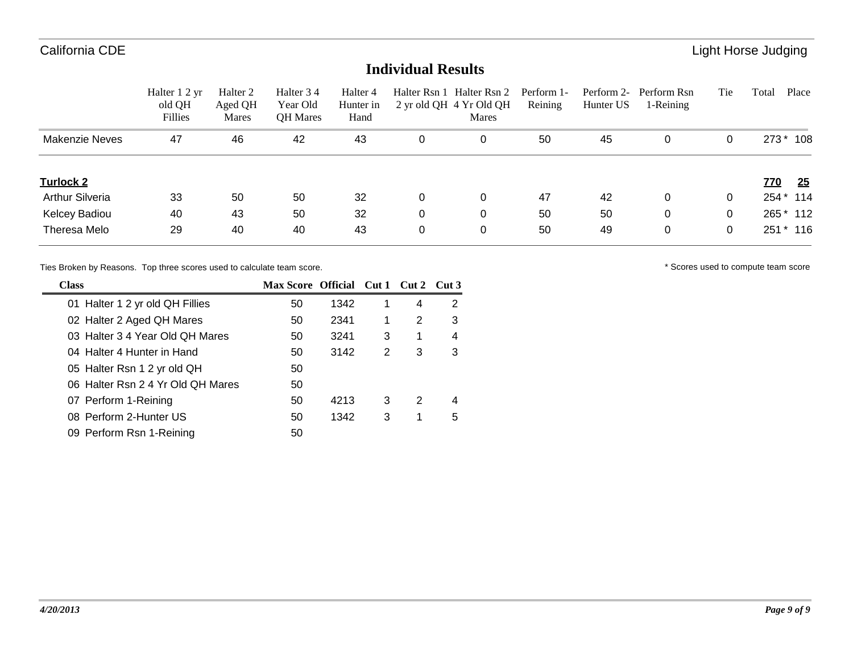### **Individual Results**

|                        | Halter 1 2 yr<br>old QH<br>Fillies | Halter 2<br>Aged QH<br>Mares | Halter 34<br>Year Old<br><b>QH</b> Mares | Halter 4<br>Hunter in<br>Hand | Halter Rsn 1 | Halter Rsn 2<br>2 yr old QH 4 Yr Old QH<br>Mares | Perform 1-<br>Reining | Hunter US | Perform 2- Perform Rsn<br>1-Reining | Tie | Place<br>Total   |
|------------------------|------------------------------------|------------------------------|------------------------------------------|-------------------------------|--------------|--------------------------------------------------|-----------------------|-----------|-------------------------------------|-----|------------------|
| Makenzie Neves         | 47                                 | 46                           | 42                                       | 43                            | 0            |                                                  | 50                    | 45        | 0                                   | 0   | 273 * 108        |
| <b>Turlock 2</b>       |                                    |                              |                                          |                               |              |                                                  |                       |           |                                     |     | 25<br><u>770</u> |
| <b>Arthur Silveria</b> | 33                                 | 50                           | 50                                       | 32                            | 0            |                                                  | 47                    | 42        | 0                                   | 0   | 254 * 114        |
| Kelcey Badiou          | 40                                 | 43                           | 50                                       | 32                            | 0            |                                                  | 50                    | 50        | 0                                   | 0   | 265 * 112        |
| Theresa Melo           | 29                                 | 40                           | 40                                       | 43                            | 0            |                                                  | 50                    | 49        | 0                                   | 0   | $*116$<br>251    |

Ties Broken by Reasons. Top three scores used to calculate team score.  $\blacksquare$  \* Scores used to compute team score

| <b>Class</b>                      | Max Score Official Cut 1 Cut 2 Cut 3 |      |   |   |   |
|-----------------------------------|--------------------------------------|------|---|---|---|
| 01 Halter 1 2 yr old QH Fillies   | 50                                   | 1342 | 1 | 4 | 2 |
| 02 Halter 2 Aged QH Mares         | 50                                   | 2341 | 1 | 2 | 3 |
| 03 Halter 3 4 Year Old QH Mares   | 50                                   | 3241 | 3 | 1 | 4 |
| 04 Halter 4 Hunter in Hand        | 50                                   | 3142 | 2 | 3 | 3 |
| 05 Halter Rsn 1 2 yr old QH       | 50                                   |      |   |   |   |
| 06 Halter Rsn 2 4 Yr Old QH Mares | 50                                   |      |   |   |   |
| 07 Perform 1-Reining              | 50                                   | 4213 | 3 | 2 | 4 |
| 08 Perform 2-Hunter US            | 50                                   | 1342 | 3 | 1 | 5 |
| 09 Perform Rsn 1-Reining          | 50                                   |      |   |   |   |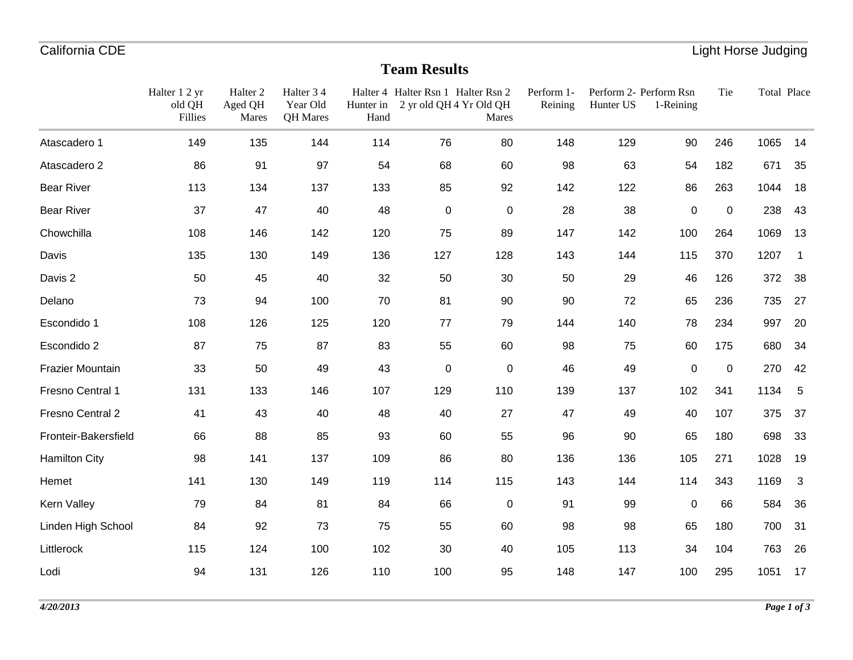## **Team Results**

|                      | Halter 1 2 yr<br>old QH<br>Fillies | Halter <sub>2</sub><br>Aged QH<br>Mares | Halter 34<br>Year Old<br>QH Mares | Hunter in<br>Hand | Halter 4 Halter Rsn 1 Halter Rsn 2<br>2 yr old QH 4 Yr Old QH | Mares       | Perform 1-<br>Reining | Perform 2- Perform Rsn<br>Hunter US | 1-Reining   | Tie         | Total Place |                         |
|----------------------|------------------------------------|-----------------------------------------|-----------------------------------|-------------------|---------------------------------------------------------------|-------------|-----------------------|-------------------------------------|-------------|-------------|-------------|-------------------------|
| Atascadero 1         | 149                                | 135                                     | 144                               | 114               | 76                                                            | 80          | 148                   | 129                                 | 90          | 246         | 1065        | 14                      |
| Atascadero 2         | 86                                 | 91                                      | 97                                | 54                | 68                                                            | 60          | 98                    | 63                                  | 54          | 182         | 671         | 35                      |
| <b>Bear River</b>    | 113                                | 134                                     | 137                               | 133               | 85                                                            | 92          | 142                   | 122                                 | 86          | 263         | 1044        | 18                      |
| <b>Bear River</b>    | 37                                 | 47                                      | 40                                | 48                | $\pmb{0}$                                                     | $\pmb{0}$   | 28                    | 38                                  | $\pmb{0}$   | $\mathbf 0$ | 238         | 43                      |
| Chowchilla           | 108                                | 146                                     | 142                               | 120               | 75                                                            | 89          | 147                   | 142                                 | 100         | 264         | 1069        | 13                      |
| Davis                | 135                                | 130                                     | 149                               | 136               | 127                                                           | 128         | 143                   | 144                                 | 115         | 370         | 1207        | $\overline{\mathbf{1}}$ |
| Davis 2              | 50                                 | 45                                      | 40                                | 32                | 50                                                            | $30\,$      | 50                    | 29                                  | 46          | 126         | 372         | 38                      |
| Delano               | 73                                 | 94                                      | 100                               | 70                | 81                                                            | 90          | 90                    | 72                                  | 65          | 236         | 735         | 27                      |
| Escondido 1          | 108                                | 126                                     | 125                               | 120               | $77 \,$                                                       | 79          | 144                   | 140                                 | 78          | 234         | 997         | 20                      |
| Escondido 2          | 87                                 | 75                                      | 87                                | 83                | 55                                                            | 60          | 98                    | 75                                  | 60          | 175         | 680         | 34                      |
| Frazier Mountain     | 33                                 | 50                                      | 49                                | 43                | $\mathbf 0$                                                   | $\mathbf 0$ | 46                    | 49                                  | 0           | 0           | 270         | 42                      |
| Fresno Central 1     | 131                                | 133                                     | 146                               | 107               | 129                                                           | 110         | 139                   | 137                                 | 102         | 341         | 1134        | 5                       |
| Fresno Central 2     | 41                                 | 43                                      | 40                                | 48                | 40                                                            | 27          | 47                    | 49                                  | 40          | 107         | 375         | 37                      |
| Fronteir-Bakersfield | 66                                 | 88                                      | 85                                | 93                | 60                                                            | 55          | 96                    | 90                                  | 65          | 180         | 698         | 33                      |
| <b>Hamilton City</b> | 98                                 | 141                                     | 137                               | 109               | 86                                                            | 80          | 136                   | 136                                 | 105         | 271         | 1028        | 19                      |
| Hemet                | 141                                | 130                                     | 149                               | 119               | 114                                                           | 115         | 143                   | 144                                 | 114         | 343         | 1169        | $\mathbf{3}$            |
| Kern Valley          | 79                                 | 84                                      | 81                                | 84                | 66                                                            | $\pmb{0}$   | 91                    | 99                                  | $\mathbf 0$ | 66          | 584         | 36                      |
| Linden High School   | 84                                 | 92                                      | 73                                | 75                | 55                                                            | 60          | 98                    | 98                                  | 65          | 180         | 700         | 31                      |
| Littlerock           | 115                                | 124                                     | 100                               | 102               | 30                                                            | 40          | 105                   | 113                                 | 34          | 104         | 763         | 26                      |
| Lodi                 | 94                                 | 131                                     | 126                               | 110               | 100                                                           | 95          | 148                   | 147                                 | 100         | 295         | 1051        | 17                      |
|                      |                                    |                                         |                                   |                   |                                                               |             |                       |                                     |             |             |             |                         |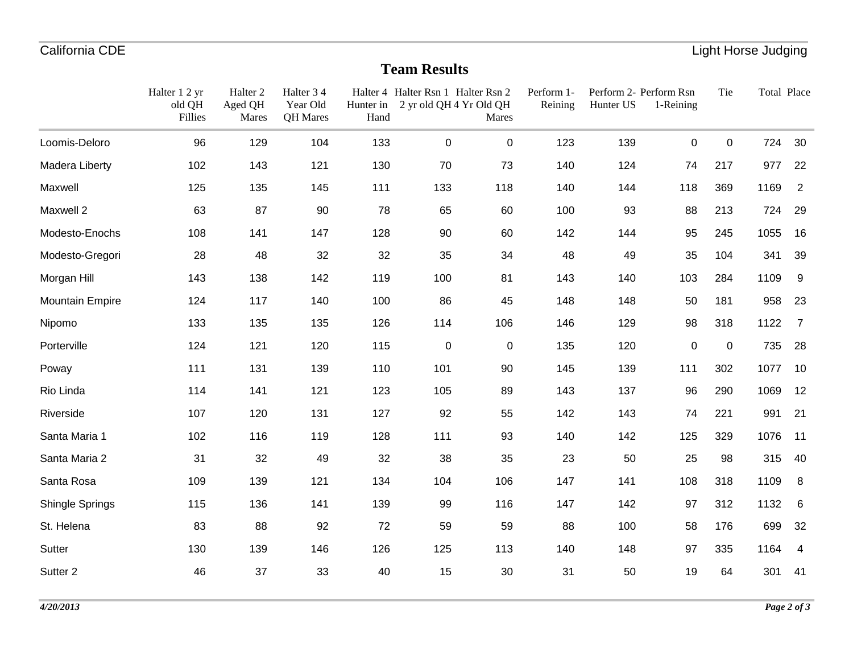## **Team Results**

|                        | Halter 1 2 yr<br>old QH<br>Fillies | Halter <sub>2</sub><br>Aged QH<br>Mares | Halter 34<br>Year Old<br>QH Mares | Hunter in<br>Hand | Halter 4 Halter Rsn 1 Halter Rsn 2<br>2 yr old QH 4 Yr Old QH | Mares     | Perform 1-<br>Reining | Hunter US | Perform 2- Perform Rsn<br>1-Reining | Tie         | Total Place |                |
|------------------------|------------------------------------|-----------------------------------------|-----------------------------------|-------------------|---------------------------------------------------------------|-----------|-----------------------|-----------|-------------------------------------|-------------|-------------|----------------|
|                        |                                    |                                         |                                   |                   |                                                               |           |                       |           |                                     |             |             |                |
| Loomis-Deloro          | 96                                 | 129                                     | 104                               | 133               | $\mathbf 0$                                                   | 0         | 123                   | 139       | 0                                   | $\mathbf 0$ | 724         | 30             |
| Madera Liberty         | 102                                | 143                                     | 121                               | 130               | 70                                                            | 73        | 140                   | 124       | 74                                  | 217         | 977         | 22             |
| Maxwell                | 125                                | 135                                     | 145                               | 111               | 133                                                           | 118       | 140                   | 144       | 118                                 | 369         | 1169        | $\overline{2}$ |
| Maxwell 2              | 63                                 | 87                                      | 90                                | 78                | 65                                                            | 60        | 100                   | 93        | 88                                  | 213         | 724         | 29             |
| Modesto-Enochs         | 108                                | 141                                     | 147                               | 128               | 90                                                            | 60        | 142                   | 144       | 95                                  | 245         | 1055        | 16             |
| Modesto-Gregori        | 28                                 | 48                                      | 32                                | 32                | 35                                                            | 34        | 48                    | 49        | 35                                  | 104         | 341         | 39             |
| Morgan Hill            | 143                                | 138                                     | 142                               | 119               | 100                                                           | 81        | 143                   | 140       | 103                                 | 284         | 1109        | 9              |
| <b>Mountain Empire</b> | 124                                | 117                                     | 140                               | 100               | 86                                                            | 45        | 148                   | 148       | 50                                  | 181         | 958         | 23             |
| Nipomo                 | 133                                | 135                                     | 135                               | 126               | 114                                                           | 106       | 146                   | 129       | 98                                  | 318         | 1122        | $\overline{7}$ |
| Porterville            | 124                                | 121                                     | 120                               | 115               | $\pmb{0}$                                                     | $\pmb{0}$ | 135                   | 120       | $\pmb{0}$                           | $\mathbf 0$ | 735         | 28             |
| Poway                  | 111                                | 131                                     | 139                               | 110               | 101                                                           | 90        | 145                   | 139       | 111                                 | 302         | 1077        | 10             |
| Rio Linda              | 114                                | 141                                     | 121                               | 123               | 105                                                           | 89        | 143                   | 137       | 96                                  | 290         | 1069        | 12             |
| Riverside              | 107                                | 120                                     | 131                               | 127               | 92                                                            | 55        | 142                   | 143       | 74                                  | 221         | 991         | 21             |
| Santa Maria 1          | 102                                | 116                                     | 119                               | 128               | 111                                                           | 93        | 140                   | 142       | 125                                 | 329         | 1076        | 11             |
| Santa Maria 2          | 31                                 | 32                                      | 49                                | 32                | 38                                                            | 35        | 23                    | 50        | 25                                  | 98          | 315         | 40             |
| Santa Rosa             | 109                                | 139                                     | 121                               | 134               | 104                                                           | 106       | 147                   | 141       | 108                                 | 318         | 1109        | 8              |
| Shingle Springs        | 115                                | 136                                     | 141                               | 139               | 99                                                            | 116       | 147                   | 142       | 97                                  | 312         | 1132        | 6              |
| St. Helena             | 83                                 | 88                                      | 92                                | 72                | 59                                                            | 59        | 88                    | 100       | 58                                  | 176         | 699         | 32             |
| Sutter                 | 130                                | 139                                     | 146                               | 126               | 125                                                           | 113       | 140                   | 148       | 97                                  | 335         | 1164        | 4              |
| Sutter 2               | 46                                 | 37                                      | 33                                | 40                | 15                                                            | 30        | 31                    | 50        | 19                                  | 64          | 301         | 41             |
|                        |                                    |                                         |                                   |                   |                                                               |           |                       |           |                                     |             |             |                |